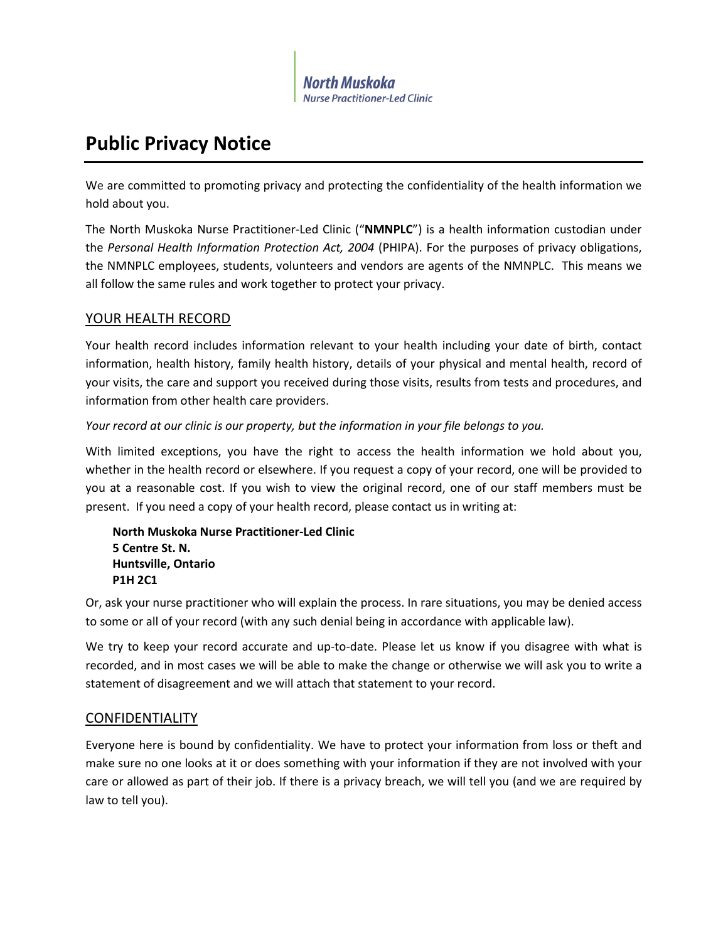

# **Public Privacy Notice**

We are committed to promoting privacy and protecting the confidentiality of the health information we hold about you.

The North Muskoka Nurse Practitioner-Led Clinic ("**NMNPLC**") is a health information custodian under the *Personal Health Information Protection Act, 2004* (PHIPA). For the purposes of privacy obligations, the NMNPLC employees, students, volunteers and vendors are agents of the NMNPLC. This means we all follow the same rules and work together to protect your privacy.

# YOUR HEALTH RECORD

Your health record includes information relevant to your health including your date of birth, contact information, health history, family health history, details of your physical and mental health, record of your visits, the care and support you received during those visits, results from tests and procedures, and information from other health care providers.

## *Your record at our clinic is our property, but the information in your file belongs to you.*

With limited exceptions, you have the right to access the health information we hold about you, whether in the health record or elsewhere. If you request a copy of your record, one will be provided to you at a reasonable cost. If you wish to view the original record, one of our staff members must be present. If you need a copy of your health record, please contact us in writing at:

**North Muskoka Nurse Practitioner-Led Clinic 5 Centre St. N. Huntsville, Ontario P1H 2C1**

Or, ask your nurse practitioner who will explain the process. In rare situations, you may be denied access to some or all of your record (with any such denial being in accordance with applicable law).

We try to keep your record accurate and up-to-date. Please let us know if you disagree with what is recorded, and in most cases we will be able to make the change or otherwise we will ask you to write a statement of disagreement and we will attach that statement to your record.

# CONFIDENTIALITY

Everyone here is bound by confidentiality. We have to protect your information from loss or theft and make sure no one looks at it or does something with your information if they are not involved with your care or allowed as part of their job. If there is a privacy breach, we will tell you (and we are required by law to tell you).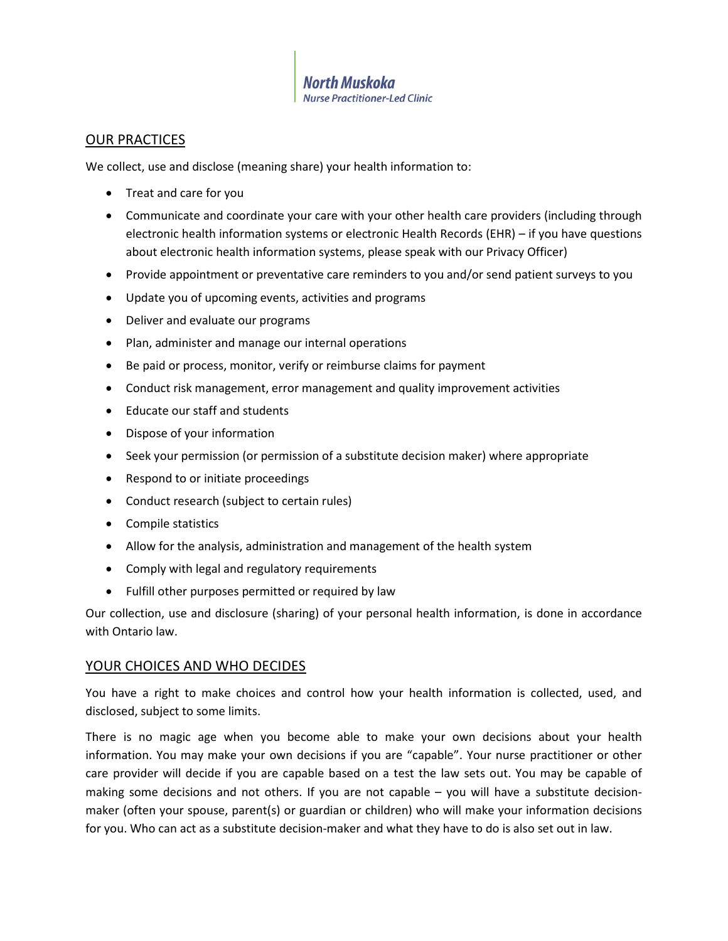North Muskoka **Nurse Practitioner-Led Clinic** 

#### OUR PRACTICES

We collect, use and disclose (meaning share) your health information to:

- Treat and care for you
- Communicate and coordinate your care with your other health care providers (including through electronic health information systems or electronic Health Records (EHR) – if you have questions about electronic health information systems, please speak with our Privacy Officer)
- Provide appointment or preventative care reminders to you and/or send patient surveys to you
- Update you of upcoming events, activities and programs
- Deliver and evaluate our programs
- Plan, administer and manage our internal operations
- Be paid or process, monitor, verify or reimburse claims for payment
- Conduct risk management, error management and quality improvement activities
- Educate our staff and students
- Dispose of your information
- Seek your permission (or permission of a substitute decision maker) where appropriate
- Respond to or initiate proceedings
- Conduct research (subject to certain rules)
- Compile statistics
- Allow for the analysis, administration and management of the health system
- Comply with legal and regulatory requirements
- Fulfill other purposes permitted or required by law

Our collection, use and disclosure (sharing) of your personal health information, is done in accordance with Ontario law.

#### YOUR CHOICES AND WHO DECIDES

You have a right to make choices and control how your health information is collected, used, and disclosed, subject to some limits.

There is no magic age when you become able to make your own decisions about your health information. You may make your own decisions if you are "capable". Your nurse practitioner or other care provider will decide if you are capable based on a test the law sets out. You may be capable of making some decisions and not others. If you are not capable – you will have a substitute decisionmaker (often your spouse, parent(s) or guardian or children) who will make your information decisions for you. Who can act as a substitute decision-maker and what they have to do is also set out in law.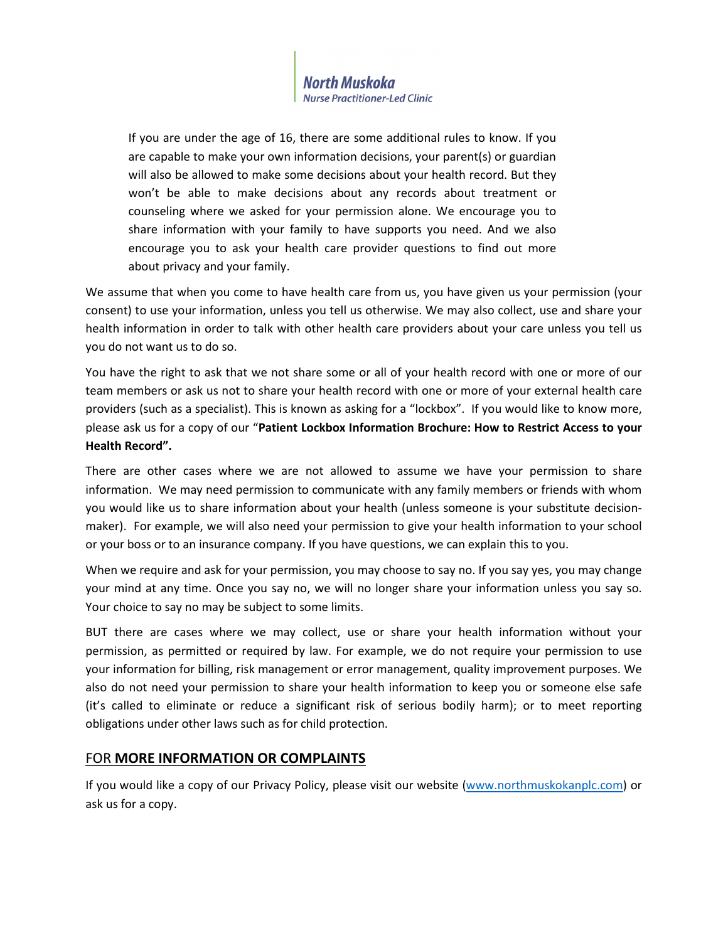

If you are under the age of 16, there are some additional rules to know. If you are capable to make your own information decisions, your parent(s) or guardian will also be allowed to make some decisions about your health record. But they won't be able to make decisions about any records about treatment or counseling where we asked for your permission alone. We encourage you to share information with your family to have supports you need. And we also encourage you to ask your health care provider questions to find out more about privacy and your family.

We assume that when you come to have health care from us, you have given us your permission (your consent) to use your information, unless you tell us otherwise. We may also collect, use and share your health information in order to talk with other health care providers about your care unless you tell us you do not want us to do so.

You have the right to ask that we not share some or all of your health record with one or more of our team members or ask us not to share your health record with one or more of your external health care providers (such as a specialist). This is known as asking for a "lockbox". If you would like to know more, please ask us for a copy of our "**Patient Lockbox Information Brochure: How to Restrict Access to your Health Record".**

There are other cases where we are not allowed to assume we have your permission to share information. We may need permission to communicate with any family members or friends with whom you would like us to share information about your health (unless someone is your substitute decisionmaker). For example, we will also need your permission to give your health information to your school or your boss or to an insurance company. If you have questions, we can explain this to you.

When we require and ask for your permission, you may choose to say no. If you say yes, you may change your mind at any time. Once you say no, we will no longer share your information unless you say so. Your choice to say no may be subject to some limits.

BUT there are cases where we may collect, use or share your health information without your permission, as permitted or required by law. For example, we do not require your permission to use your information for billing, risk management or error management, quality improvement purposes. We also do not need your permission to share your health information to keep you or someone else safe (it's called to eliminate or reduce a significant risk of serious bodily harm); or to meet reporting obligations under other laws such as for child protection.

## FOR **MORE INFORMATION OR COMPLAINTS**

If you would like a copy of our Privacy Policy, please visit our website [\(www.northmuskokanplc.com\)](http://www.northmuskokanplc.com/) or ask us for a copy.